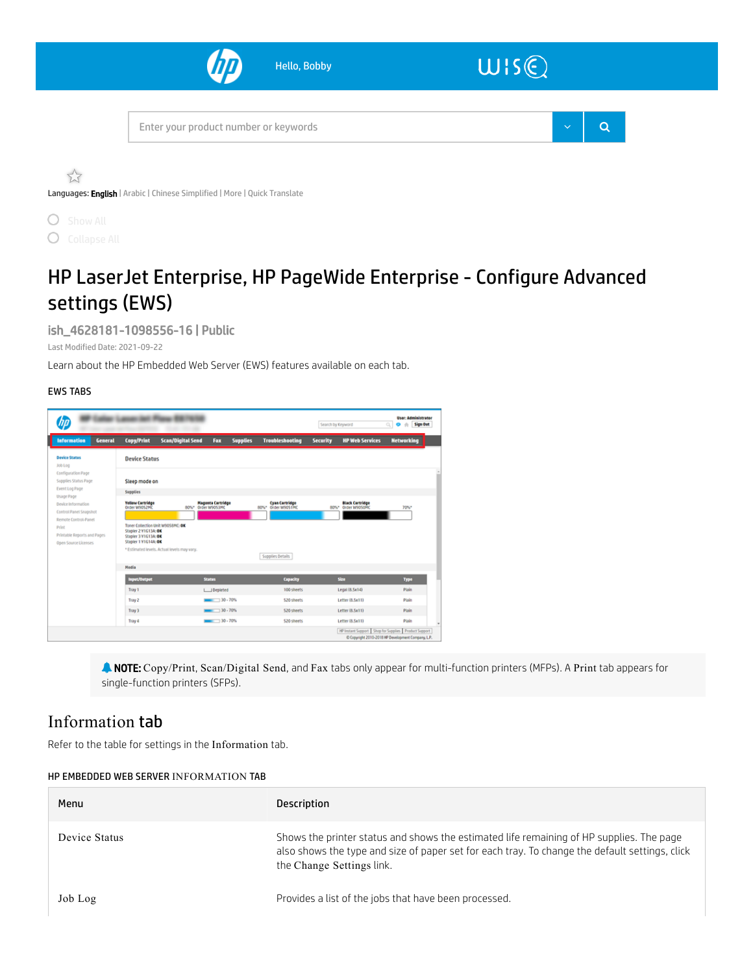

 $\bigcirc$  $\bigcirc$ 

# HP LaserJet Enterprise, HP PageWide Enterprise - Configure Advanced settings (EWS)

ish\_4628181-1098556-16 | Public

Last Modified Date: 2021-09-22

Learn about the HP Embedded Web Server (EWS) features available on each tab.

### EWS TABS



 NOTE: Copy/Print, Scan/Digital Send, and Fax tabs only appear for multi-function printers (MFPs). A Print tab appears for single-function printers (SFPs).

### Information tab

Refer to the table for settings in the Information tab.

#### HP EMBEDDED WEB SERVER INFORMATION TAB

| Menu          | Description                                                                                                                                                                                                             |
|---------------|-------------------------------------------------------------------------------------------------------------------------------------------------------------------------------------------------------------------------|
| Device Status | Shows the printer status and shows the estimated life remaining of HP supplies. The page<br>also shows the type and size of paper set for each tray. To change the default settings, click<br>the Change Settings link. |
| Job Log       | Provides a list of the jobs that have been processed.                                                                                                                                                                   |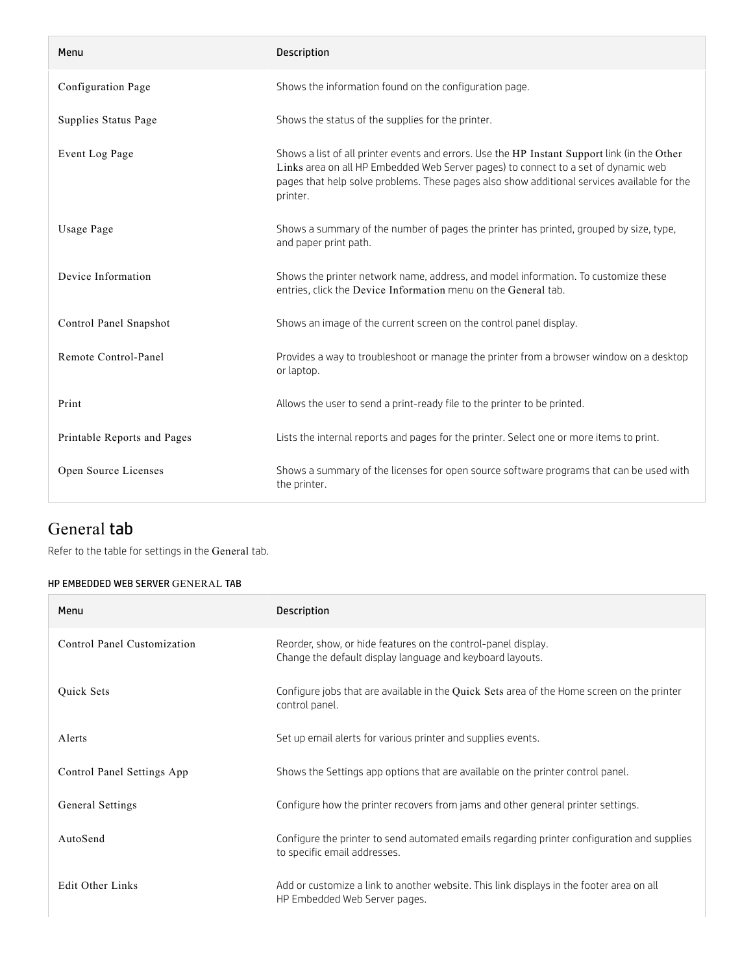| Menu                        | <b>Description</b>                                                                                                                                                                                                                                                                            |
|-----------------------------|-----------------------------------------------------------------------------------------------------------------------------------------------------------------------------------------------------------------------------------------------------------------------------------------------|
| Configuration Page          | Shows the information found on the configuration page.                                                                                                                                                                                                                                        |
| Supplies Status Page        | Shows the status of the supplies for the printer.                                                                                                                                                                                                                                             |
| Event Log Page              | Shows a list of all printer events and errors. Use the HP Instant Support link (in the Other<br>Links area on all HP Embedded Web Server pages) to connect to a set of dynamic web<br>pages that help solve problems. These pages also show additional services available for the<br>printer. |
| Usage Page                  | Shows a summary of the number of pages the printer has printed, grouped by size, type,<br>and paper print path.                                                                                                                                                                               |
| Device Information          | Shows the printer network name, address, and model information. To customize these<br>entries, click the Device Information menu on the General tab.                                                                                                                                          |
| Control Panel Snapshot      | Shows an image of the current screen on the control panel display.                                                                                                                                                                                                                            |
| Remote Control-Panel        | Provides a way to troubleshoot or manage the printer from a browser window on a desktop<br>or laptop.                                                                                                                                                                                         |
| Print                       | Allows the user to send a print-ready file to the printer to be printed.                                                                                                                                                                                                                      |
| Printable Reports and Pages | Lists the internal reports and pages for the printer. Select one or more items to print.                                                                                                                                                                                                      |
| Open Source Licenses        | Shows a summary of the licenses for open source software programs that can be used with<br>the printer.                                                                                                                                                                                       |

### General tab

Refer to the table for settings in the General tab.

### HP EMBEDDED WEB SERVER GENERAL TAB

| Menu                        | <b>Description</b>                                                                                                          |
|-----------------------------|-----------------------------------------------------------------------------------------------------------------------------|
| Control Panel Customization | Reorder, show, or hide features on the control-panel display.<br>Change the default display language and keyboard layouts.  |
| <b>Ouick Sets</b>           | Configure jobs that are available in the Quick Sets area of the Home screen on the printer<br>control panel.                |
| Alerts                      | Set up email alerts for various printer and supplies events.                                                                |
| Control Panel Settings App  | Shows the Settings app options that are available on the printer control panel.                                             |
| General Settings            | Configure how the printer recovers from jams and other general printer settings.                                            |
| AutoSend                    | Configure the printer to send automated emails regarding printer configuration and supplies<br>to specific email addresses. |
| <b>Edit Other Links</b>     | Add or customize a link to another website. This link displays in the footer area on all<br>HP Embedded Web Server pages.   |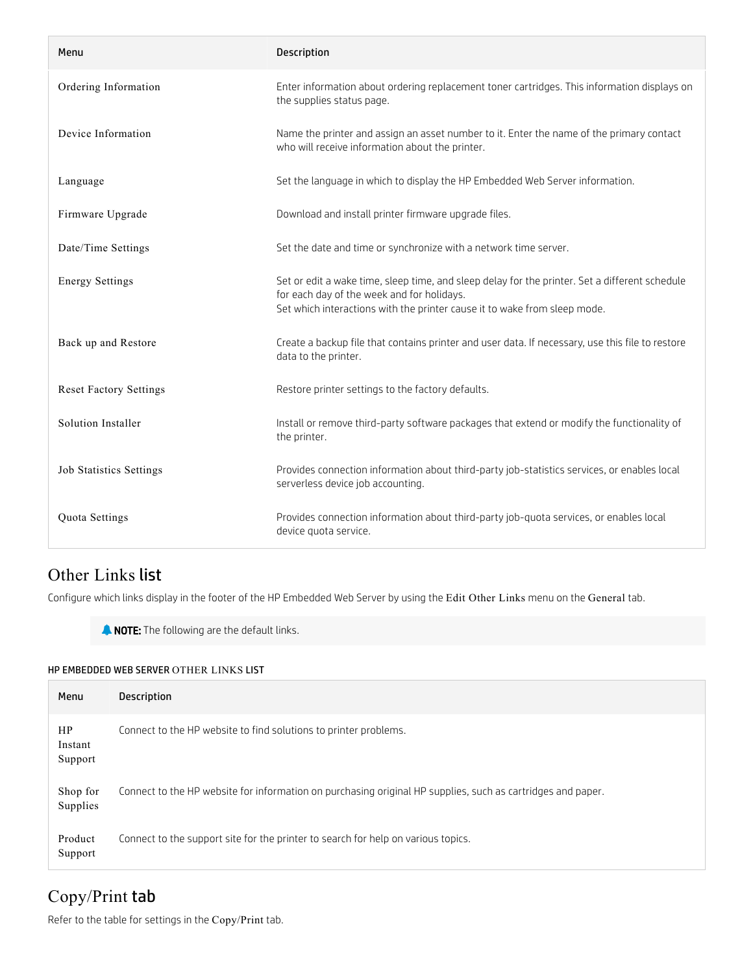| Menu                           | <b>Description</b>                                                                                                                                                                                                        |
|--------------------------------|---------------------------------------------------------------------------------------------------------------------------------------------------------------------------------------------------------------------------|
| Ordering Information           | Enter information about ordering replacement toner cartridges. This information displays on<br>the supplies status page.                                                                                                  |
| Device Information             | Name the printer and assign an asset number to it. Enter the name of the primary contact<br>who will receive information about the printer.                                                                               |
| Language                       | Set the language in which to display the HP Embedded Web Server information.                                                                                                                                              |
| Firmware Upgrade               | Download and install printer firmware upgrade files.                                                                                                                                                                      |
| Date/Time Settings             | Set the date and time or synchronize with a network time server.                                                                                                                                                          |
| <b>Energy Settings</b>         | Set or edit a wake time, sleep time, and sleep delay for the printer. Set a different schedule<br>for each day of the week and for holidays.<br>Set which interactions with the printer cause it to wake from sleep mode. |
| Back up and Restore            | Create a backup file that contains printer and user data. If necessary, use this file to restore<br>data to the printer.                                                                                                  |
| <b>Reset Factory Settings</b>  | Restore printer settings to the factory defaults.                                                                                                                                                                         |
| Solution Installer             | Install or remove third-party software packages that extend or modify the functionality of<br>the printer.                                                                                                                |
| <b>Job Statistics Settings</b> | Provides connection information about third-party job-statistics services, or enables local<br>serverless device job accounting.                                                                                          |
| Quota Settings                 | Provides connection information about third-party job-quota services, or enables local<br>device quota service.                                                                                                           |

### Other Links list

Configure which links display in the footer of the HP Embedded Web Server by using the Edit Other Links menu on the General tab.

**A NOTE:** The following are the default links.

#### HP EMBEDDED WEB SERVER OTHER LINKS LIST

| Menu                     | <b>Description</b>                                                                                          |
|--------------------------|-------------------------------------------------------------------------------------------------------------|
| HP<br>Instant<br>Support | Connect to the HP website to find solutions to printer problems.                                            |
| Shop for<br>Supplies     | Connect to the HP website for information on purchasing original HP supplies, such as cartridges and paper. |
| Product<br>Support       | Connect to the support site for the printer to search for help on various topics.                           |

## Copy/Print tab

Refer to the table for settings in the Copy/Print tab.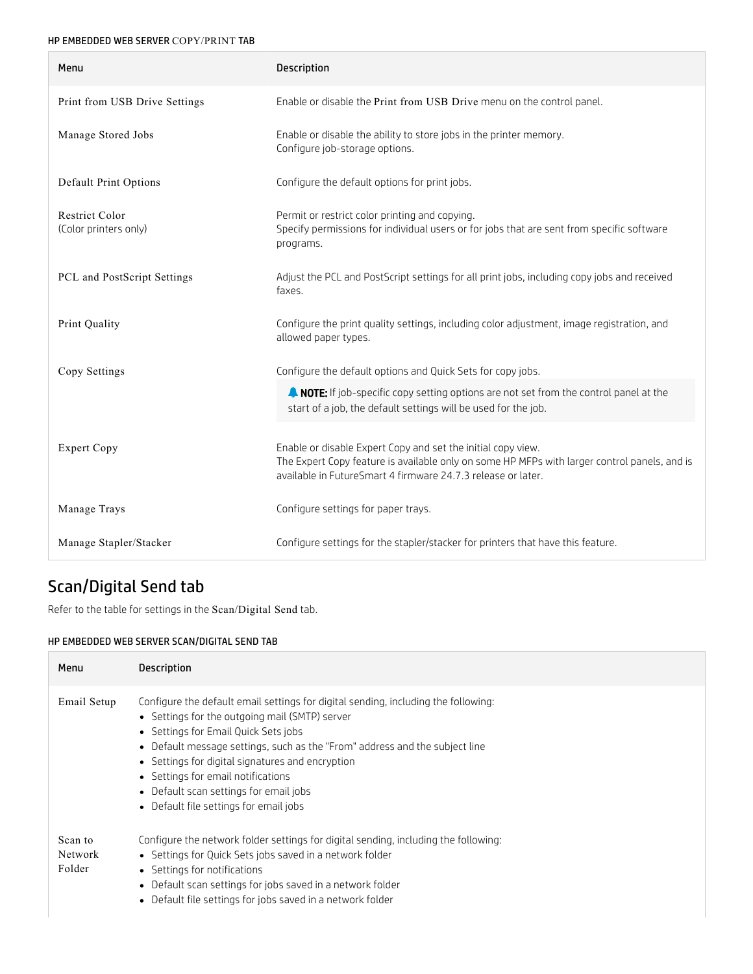### HP EMBEDDED WEB SERVER COPY/PRINT TAB

| Menu                                    | <b>Description</b>                                                                                                                                                                                                           |
|-----------------------------------------|------------------------------------------------------------------------------------------------------------------------------------------------------------------------------------------------------------------------------|
| Print from USB Drive Settings           | Enable or disable the Print from USB Drive menu on the control panel.                                                                                                                                                        |
| Manage Stored Jobs                      | Enable or disable the ability to store jobs in the printer memory.<br>Configure job-storage options.                                                                                                                         |
| Default Print Options                   | Configure the default options for print jobs.                                                                                                                                                                                |
| Restrict Color<br>(Color printers only) | Permit or restrict color printing and copying.<br>Specify permissions for individual users or for jobs that are sent from specific software<br>programs.                                                                     |
| PCL and PostScript Settings             | Adjust the PCL and PostScript settings for all print jobs, including copy jobs and received<br>faxes.                                                                                                                        |
| Print Quality                           | Configure the print quality settings, including color adjustment, image registration, and<br>allowed paper types.                                                                                                            |
| Copy Settings                           | Configure the default options and Quick Sets for copy jobs.                                                                                                                                                                  |
|                                         | A NOTE: If job-specific copy setting options are not set from the control panel at the<br>start of a job, the default settings will be used for the job.                                                                     |
| <b>Expert Copy</b>                      | Enable or disable Expert Copy and set the initial copy view.<br>The Expert Copy feature is available only on some HP MFPs with larger control panels, and is<br>available in FutureSmart 4 firmware 24.7.3 release or later. |
| Manage Trays                            | Configure settings for paper trays.                                                                                                                                                                                          |
| Manage Stapler/Stacker                  | Configure settings for the stapler/stacker for printers that have this feature.                                                                                                                                              |

# Scan/Digital Send tab

Refer to the table for settings in the Scan/Digital Send tab.

### HP EMBEDDED WEB SERVER SCAN/DIGITAL SEND TAB

| Menu                         | Description                                                                                                                                                                                                                                                                                                                                                                                                                               |
|------------------------------|-------------------------------------------------------------------------------------------------------------------------------------------------------------------------------------------------------------------------------------------------------------------------------------------------------------------------------------------------------------------------------------------------------------------------------------------|
| Email Setup                  | Configure the default email settings for digital sending, including the following:<br>• Settings for the outgoing mail (SMTP) server<br>• Settings for Email Quick Sets jobs<br>• Default message settings, such as the "From" address and the subject line<br>• Settings for digital signatures and encryption<br>• Settings for email notifications<br>• Default scan settings for email jobs<br>• Default file settings for email jobs |
| Scan to<br>Network<br>Folder | Configure the network folder settings for digital sending, including the following:<br>• Settings for Quick Sets jobs saved in a network folder<br>• Settings for notifications<br>• Default scan settings for jobs saved in a network folder<br>• Default file settings for jobs saved in a network folder                                                                                                                               |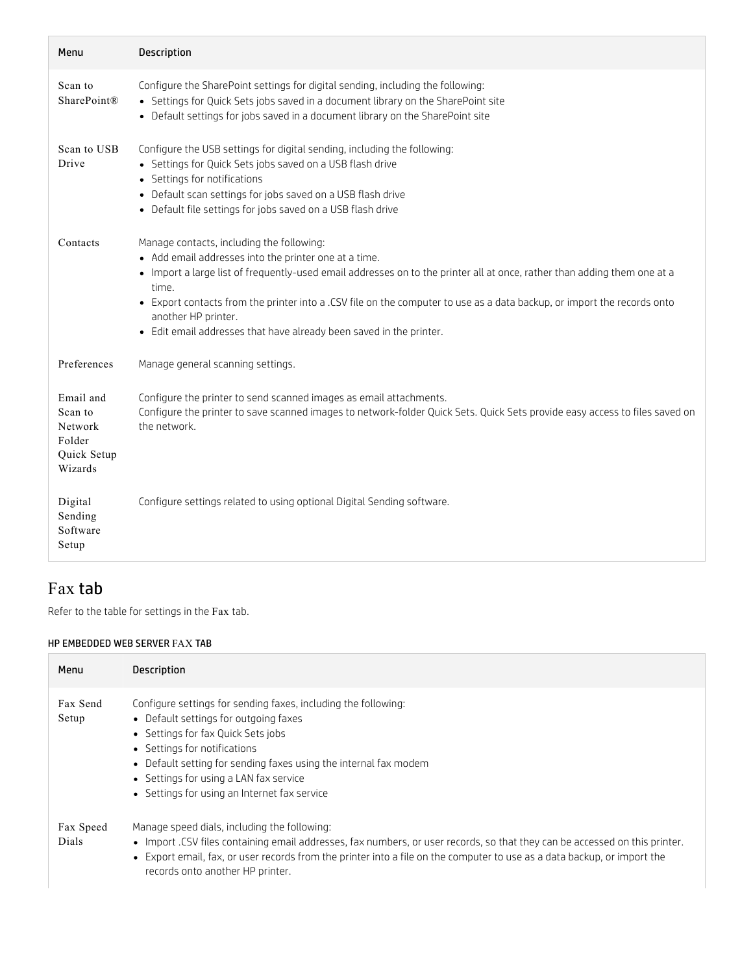| Menu                                                                | Description                                                                                                                                                                                                                                                                                                                                                                                                                                                      |
|---------------------------------------------------------------------|------------------------------------------------------------------------------------------------------------------------------------------------------------------------------------------------------------------------------------------------------------------------------------------------------------------------------------------------------------------------------------------------------------------------------------------------------------------|
| Scan to<br><b>SharePoint®</b>                                       | Configure the SharePoint settings for digital sending, including the following:<br>• Settings for Quick Sets jobs saved in a document library on the SharePoint site<br>• Default settings for jobs saved in a document library on the SharePoint site                                                                                                                                                                                                           |
| Scan to USB<br>Drive                                                | Configure the USB settings for digital sending, including the following:<br>• Settings for Quick Sets jobs saved on a USB flash drive<br>• Settings for notifications<br>• Default scan settings for jobs saved on a USB flash drive<br>• Default file settings for jobs saved on a USB flash drive                                                                                                                                                              |
| Contacts                                                            | Manage contacts, including the following:<br>• Add email addresses into the printer one at a time.<br>• Import a large list of frequently-used email addresses on to the printer all at once, rather than adding them one at a<br>time.<br>• Export contacts from the printer into a .CSV file on the computer to use as a data backup, or import the records onto<br>another HP printer.<br>• Edit email addresses that have already been saved in the printer. |
| Preferences                                                         | Manage general scanning settings.                                                                                                                                                                                                                                                                                                                                                                                                                                |
| Email and<br>Scan to<br>Network<br>Folder<br>Quick Setup<br>Wizards | Configure the printer to send scanned images as email attachments.<br>Configure the printer to save scanned images to network-folder Quick Sets. Quick Sets provide easy access to files saved on<br>the network.                                                                                                                                                                                                                                                |
| Digital<br>Sending<br>Software<br>Setup                             | Configure settings related to using optional Digital Sending software.                                                                                                                                                                                                                                                                                                                                                                                           |

### Fax tab

Refer to the table for settings in the Fax tab.

### HP EMBEDDED WEB SERVER FAX TAB

| Menu               | <b>Description</b>                                                                                                                                                                                                                                                                                                                          |
|--------------------|---------------------------------------------------------------------------------------------------------------------------------------------------------------------------------------------------------------------------------------------------------------------------------------------------------------------------------------------|
| Fax Send<br>Setup  | Configure settings for sending faxes, including the following:<br>• Default settings for outgoing faxes<br>• Settings for fax Quick Sets jobs<br>• Settings for notifications<br>• Default setting for sending faxes using the internal fax modem<br>• Settings for using a LAN fax service<br>• Settings for using an Internet fax service |
| Fax Speed<br>Dials | Manage speed dials, including the following:<br>• Import .CSV files containing email addresses, fax numbers, or user records, so that they can be accessed on this printer.<br>• Export email, fax, or user records from the printer into a file on the computer to use as a data backup, or import the<br>records onto another HP printer. |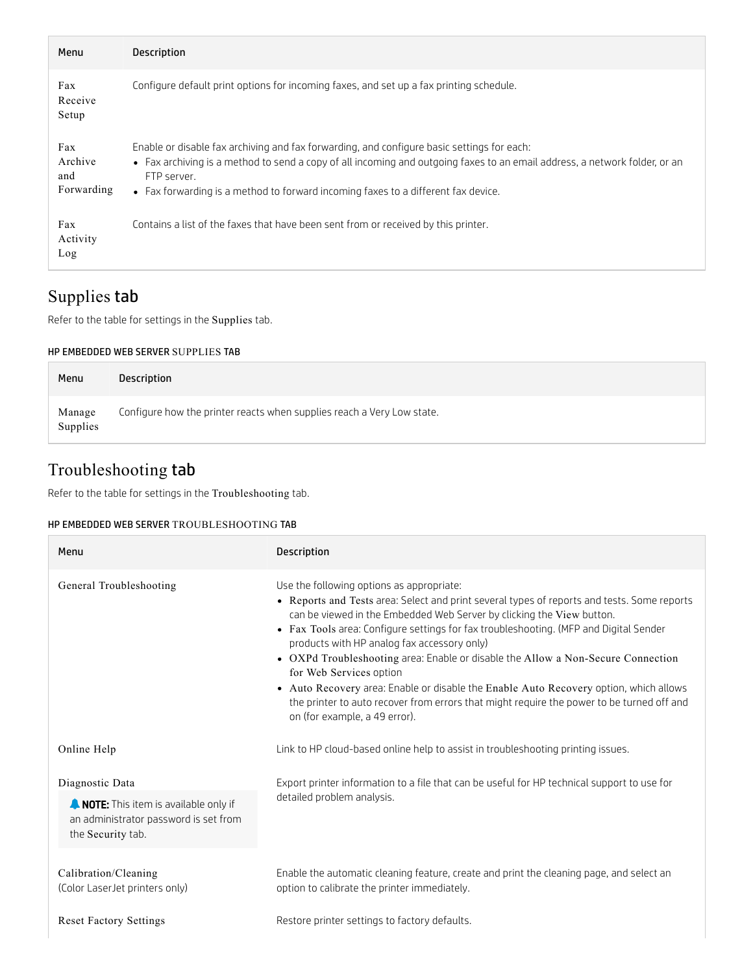| Menu                                | <b>Description</b>                                                                                                                                                                                                                                                                                                           |
|-------------------------------------|------------------------------------------------------------------------------------------------------------------------------------------------------------------------------------------------------------------------------------------------------------------------------------------------------------------------------|
| Fax<br>Receive<br>Setup             | Configure default print options for incoming faxes, and set up a fax printing schedule.                                                                                                                                                                                                                                      |
| Fax<br>Archive<br>and<br>Forwarding | Enable or disable fax archiving and fax forwarding, and configure basic settings for each:<br>• Fax archiving is a method to send a copy of all incoming and outgoing faxes to an email address, a network folder, or an<br>FTP server.<br>• Fax forwarding is a method to forward incoming faxes to a different fax device. |
| Fax<br>Activity<br>Log              | Contains a list of the faxes that have been sent from or received by this printer.                                                                                                                                                                                                                                           |

## Supplies tab

Refer to the table for settings in the Supplies tab.

#### HP EMBEDDED WEB SERVER SUPPLIES TAB

| Configure how the printer reacts when supplies reach a Very Low state.<br>Manage<br>Supplies | Menu | Description |
|----------------------------------------------------------------------------------------------|------|-------------|
|                                                                                              |      |             |

## Troubleshooting tab

Refer to the table for settings in the Troubleshooting tab.

### HP EMBEDDED WEB SERVER TROUBLESHOOTING TAB

| Menu                                                                                                                  | <b>Description</b>                                                                                                                                                                                                                                                                                                                                                                                                                                                                                                                                                                                                                                                                              |
|-----------------------------------------------------------------------------------------------------------------------|-------------------------------------------------------------------------------------------------------------------------------------------------------------------------------------------------------------------------------------------------------------------------------------------------------------------------------------------------------------------------------------------------------------------------------------------------------------------------------------------------------------------------------------------------------------------------------------------------------------------------------------------------------------------------------------------------|
| General Troubleshooting                                                                                               | Use the following options as appropriate:<br>• Reports and Tests area: Select and print several types of reports and tests. Some reports<br>can be viewed in the Embedded Web Server by clicking the View button.<br>• Fax Tools area: Configure settings for fax troubleshooting. (MFP and Digital Sender<br>products with HP analog fax accessory only)<br>• OXPd Troubleshooting area: Enable or disable the Allow a Non-Secure Connection<br>for Web Services option<br>• Auto Recovery area: Enable or disable the Enable Auto Recovery option, which allows<br>the printer to auto recover from errors that might require the power to be turned off and<br>on (for example, a 49 error). |
| Online Help                                                                                                           | Link to HP cloud-based online help to assist in troubleshooting printing issues.                                                                                                                                                                                                                                                                                                                                                                                                                                                                                                                                                                                                                |
| Diagnostic Data<br>NOTE: This item is available only if<br>an administrator password is set from<br>the Security tab. | Export printer information to a file that can be useful for HP technical support to use for<br>detailed problem analysis.                                                                                                                                                                                                                                                                                                                                                                                                                                                                                                                                                                       |
| Calibration/Cleaning<br>(Color LaserJet printers only)                                                                | Enable the automatic cleaning feature, create and print the cleaning page, and select an<br>option to calibrate the printer immediately.                                                                                                                                                                                                                                                                                                                                                                                                                                                                                                                                                        |
| <b>Reset Factory Settings</b>                                                                                         | Restore printer settings to factory defaults.                                                                                                                                                                                                                                                                                                                                                                                                                                                                                                                                                                                                                                                   |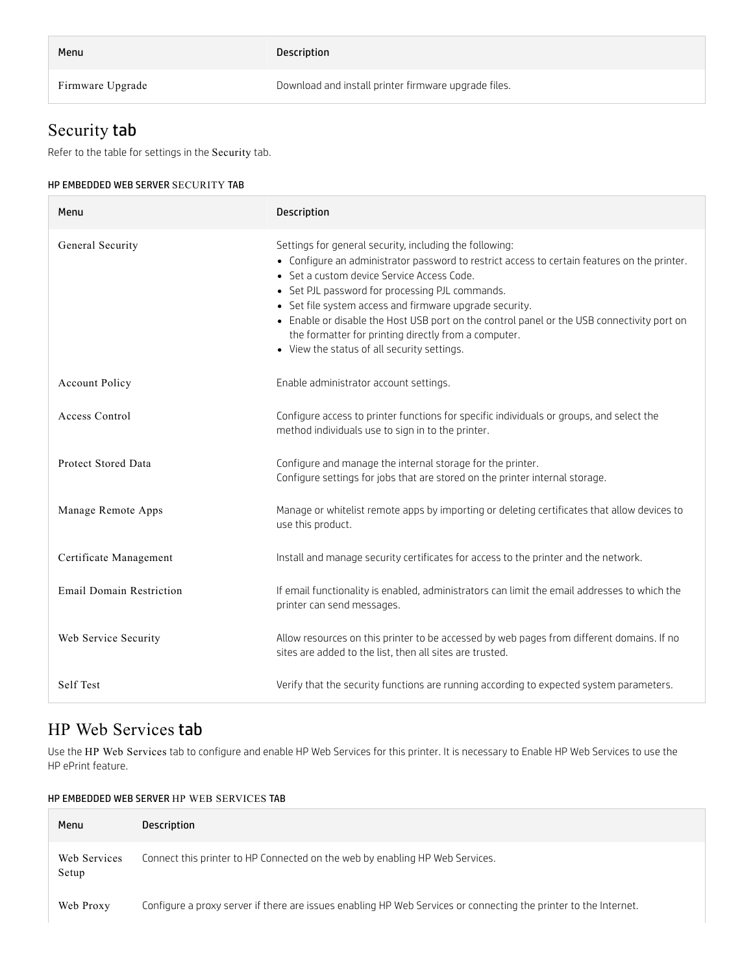| Menu             | <b>Description</b>                                   |
|------------------|------------------------------------------------------|
| Firmware Upgrade | Download and install printer firmware upgrade files. |

## Security tab

Refer to the table for settings in the Security tab.

### HP EMBEDDED WEB SERVER SECURITY TAB

| Menu                            | Description                                                                                                                                                                                                                                                                                                                                                                                                                                                                                                              |
|---------------------------------|--------------------------------------------------------------------------------------------------------------------------------------------------------------------------------------------------------------------------------------------------------------------------------------------------------------------------------------------------------------------------------------------------------------------------------------------------------------------------------------------------------------------------|
| General Security                | Settings for general security, including the following:<br>• Configure an administrator password to restrict access to certain features on the printer.<br>• Set a custom device Service Access Code.<br>• Set PJL password for processing PJL commands.<br>• Set file system access and firmware upgrade security.<br>• Enable or disable the Host USB port on the control panel or the USB connectivity port on<br>the formatter for printing directly from a computer.<br>• View the status of all security settings. |
| <b>Account Policy</b>           | Enable administrator account settings.                                                                                                                                                                                                                                                                                                                                                                                                                                                                                   |
| Access Control                  | Configure access to printer functions for specific individuals or groups, and select the<br>method individuals use to sign in to the printer.                                                                                                                                                                                                                                                                                                                                                                            |
| Protect Stored Data             | Configure and manage the internal storage for the printer.<br>Configure settings for jobs that are stored on the printer internal storage.                                                                                                                                                                                                                                                                                                                                                                               |
| Manage Remote Apps              | Manage or whitelist remote apps by importing or deleting certificates that allow devices to<br>use this product.                                                                                                                                                                                                                                                                                                                                                                                                         |
| Certificate Management          | Install and manage security certificates for access to the printer and the network.                                                                                                                                                                                                                                                                                                                                                                                                                                      |
| <b>Email Domain Restriction</b> | If email functionality is enabled, administrators can limit the email addresses to which the<br>printer can send messages.                                                                                                                                                                                                                                                                                                                                                                                               |
| Web Service Security            | Allow resources on this printer to be accessed by web pages from different domains. If no<br>sites are added to the list, then all sites are trusted.                                                                                                                                                                                                                                                                                                                                                                    |
| Self Test                       | Verify that the security functions are running according to expected system parameters.                                                                                                                                                                                                                                                                                                                                                                                                                                  |

### HP Web Services tab

Use the HP Web Services tab to configure and enable HP Web Services for this printer. It is necessary to Enable HP Web Services to use the HP ePrint feature.

### HP EMBEDDED WEB SERVER HP WEB SERVICES TAB

| Menu                  | Description                                                                                                      |
|-----------------------|------------------------------------------------------------------------------------------------------------------|
| Web Services<br>Setup | Connect this printer to HP Connected on the web by enabling HP Web Services.                                     |
| Web Proxy             | Configure a proxy server if there are issues enabling HP Web Services or connecting the printer to the Internet. |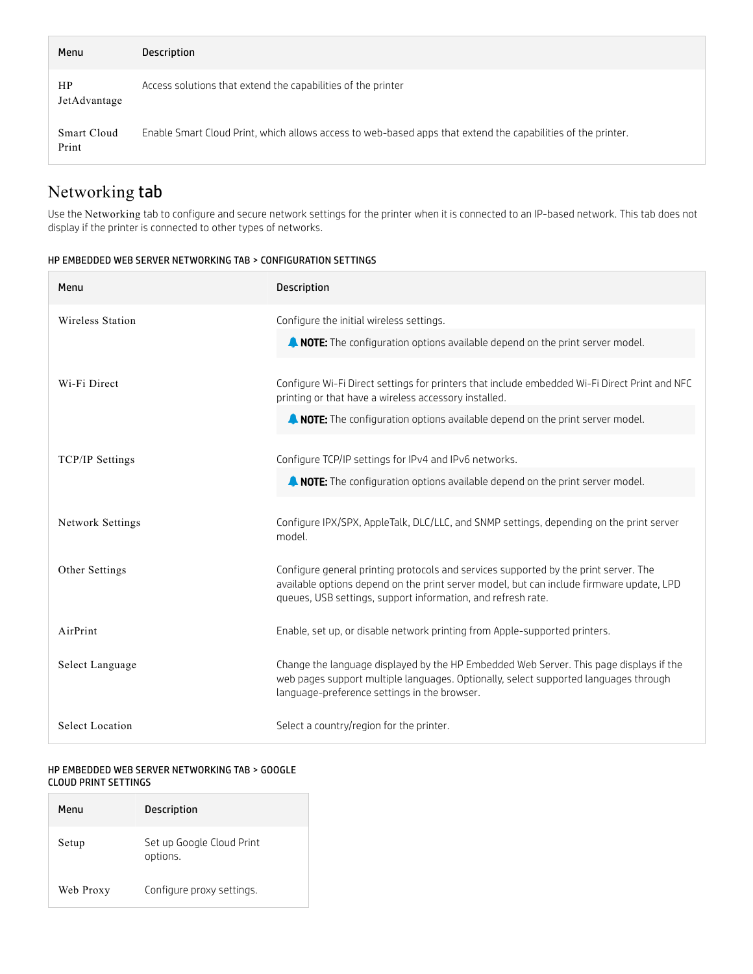| Menu                      | Description                                                                                                  |
|---------------------------|--------------------------------------------------------------------------------------------------------------|
| <b>HP</b><br>JetAdvantage | Access solutions that extend the capabilities of the printer                                                 |
| Smart Cloud<br>Print      | Enable Smart Cloud Print, which allows access to web-based apps that extend the capabilities of the printer. |

## Networking tab

Use the Networking tab to configure and secure network settings for the printer when it is connected to an IP-based network. This tab does not display if the printer is connected to other types of networks.

| HP EMBEDDED WEB SERVER NETWORKING TAB > CONFIGURATION SETTINGS |
|----------------------------------------------------------------|
|----------------------------------------------------------------|

| Menu                   | <b>Description</b>                                                                                                                                                                                                                               |
|------------------------|--------------------------------------------------------------------------------------------------------------------------------------------------------------------------------------------------------------------------------------------------|
| Wireless Station       | Configure the initial wireless settings.                                                                                                                                                                                                         |
|                        | <b>A NOTE:</b> The configuration options available depend on the print server model.                                                                                                                                                             |
| Wi-Fi Direct           | Configure Wi-Fi Direct settings for printers that include embedded Wi-Fi Direct Print and NFC<br>printing or that have a wireless accessory installed.                                                                                           |
|                        | <b>A NOTE:</b> The configuration options available depend on the print server model.                                                                                                                                                             |
| TCP/IP Settings        | Configure TCP/IP settings for IPv4 and IPv6 networks.                                                                                                                                                                                            |
|                        | A NOTE: The configuration options available depend on the print server model.                                                                                                                                                                    |
| Network Settings       | Configure IPX/SPX, AppleTalk, DLC/LLC, and SNMP settings, depending on the print server<br>model.                                                                                                                                                |
| Other Settings         | Configure general printing protocols and services supported by the print server. The<br>available options depend on the print server model, but can include firmware update, LPD<br>queues, USB settings, support information, and refresh rate. |
| AirPrint               | Enable, set up, or disable network printing from Apple-supported printers.                                                                                                                                                                       |
| Select Language        | Change the language displayed by the HP Embedded Web Server. This page displays if the<br>web pages support multiple languages. Optionally, select supported languages through<br>language-preference settings in the browser.                   |
| <b>Select Location</b> | Select a country/region for the printer.                                                                                                                                                                                                         |

#### HP EMBEDDED WEB SERVER NETWORKING TAB > GOOGLE CLOUD PRINT SETTINGS

| Menu      | <b>Description</b>                    |
|-----------|---------------------------------------|
| Setup     | Set up Google Cloud Print<br>options. |
| Web Proxy | Configure proxy settings.             |